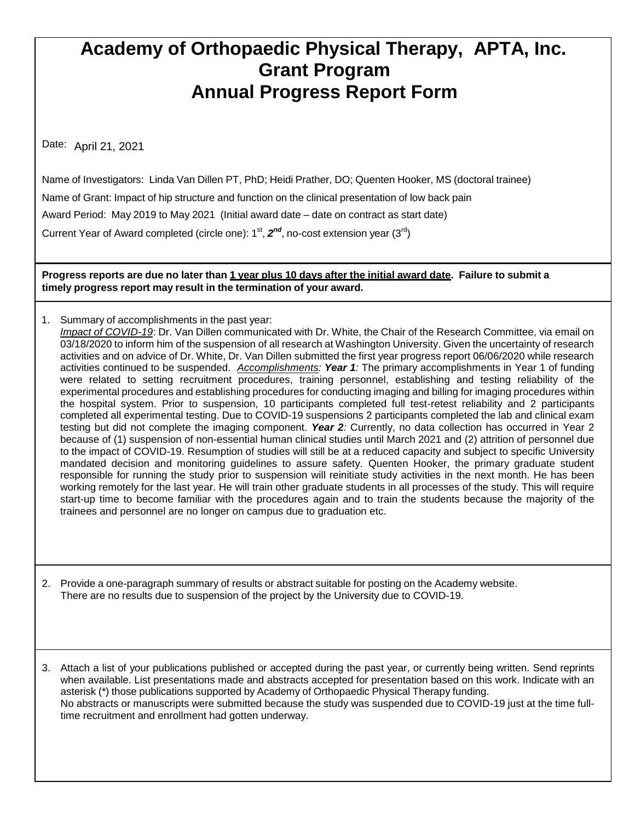## **Academy of Orthopaedic Physical Therapy, APTA, Inc. Grant Program Annual Progress Report Form**

Date: April 21, 2021

Name of Investigators: Linda Van Dillen PT, PhD; Heidi Prather, DO; Quenten Hooker, MS (doctoral trainee) Name of Grant: Impact of hip structure and function on the clinical presentation of low back pain Award Period: May 2019 to May 2021 (Initial award date – date on contract as start date) Current Year of Award completed (circle one): 1<sup>st</sup>, 2<sup>nd</sup>, no-cost extension year (3<sup>rd</sup>)

Progress reports are due no later than 1 year plus 10 days after the initial award date. Failure to submit a **timely progress report may result in the termination of your award.**

1. Summary of accomplishments in the past year: *Impact of COVID-19*: Dr. Van Dillen communicated with Dr. White, the Chair of the Research Committee, via email on 03/18/2020 to inform him of the suspension of all research at Washington University. Given the uncertainty of research activities and on advice of Dr. White, Dr. Van Dillen submitted the first year progress report 06/06/2020 while research activities continued to be suspended. *Accomplishments: Year 1:* The primary accomplishments in Year 1 of funding were related to setting recruitment procedures, training personnel, establishing and testing reliability of the experimental procedures and establishing procedures for conducting imaging and billing for imaging procedures within the hospital system. Prior to suspension, 10 participants completed full test-retest reliability and 2 participants completed all experimental testing. Due to COVID-19 suspensions 2 participants completed the lab and clinical exam testing but did not complete the imaging component. *Year 2:* Currently, no data collection has occurred in Year 2 because of (1) suspension of non-essential human clinical studies until March 2021 and (2) attrition of personnel due to the impact of COVID-19. Resumption of studies will still be at a reduced capacity and subject to specific University mandated decision and monitoring guidelines to assure safety. Quenten Hooker, the primary graduate student responsible for running the study prior to suspension will reinitiate study activities in the next month. He has been working remotely for the last year. He will train other graduate students in all processes of the study. This will require start-up time to become familiar with the procedures again and to train the students because the majority of the trainees and personnel are no longer on campus due to graduation etc.

2. Provide a one-paragraph summary of results or abstract suitable for posting on the Academy website. There are no results due to suspension of the project by the University due to COVID-19.

3. Attach a list of your publications published or accepted during the past year, or currently being written. Send reprints when available. List presentations made and abstracts accepted for presentation based on this work. Indicate with an asterisk (\*) those publications supported by Academy of Orthopaedic Physical Therapy funding. No abstracts or manuscripts were submitted because the study was suspended due to COVID-19 just at the time fulltime recruitment and enrollment had gotten underway.